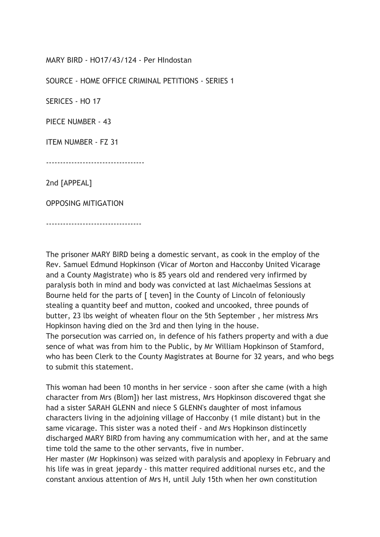MARY BIRD - HO17/43/124 - Per HIndostan

SOURCE - HOME OFFICE CRIMINAL PETITIONS - SERIES 1

SERICES - HO 17

PIECE NUMBER - 43

ITEM NUMBER - FZ 31

-----------------------------------

2nd [APPEAL]

OPPOSING MITIGATION

----------------------------------

The prisoner MARY BIRD being a domestic servant, as cook in the employ of the Rev. Samuel Edmund Hopkinson (Vicar of Morton and Hacconby United Vicarage and a County Magistrate) who is 85 years old and rendered very infirmed by paralysis both in mind and body was convicted at last Michaelmas Sessions at Bourne held for the parts of [ teven] in the County of Lincoln of feloniously stealing a quantity beef and mutton, cooked and uncooked, three pounds of butter, 23 lbs weight of wheaten flour on the 5th September , her mistress Mrs Hopkinson having died on the 3rd and then lying in the house.

The porsecution was carried on, in defence of his fathers property and with a due sence of what was from him to the Public, by Mr William Hopkinson of Stamford, who has been Clerk to the County Magistrates at Bourne for 32 years, and who begs to submit this statement.

This woman had been 10 months in her service - soon after she came (with a high character from Mrs (Blom]) her last mistress, Mrs Hopkinson discovered thgat she had a sister SARAH GLENN and niece S GLENN's daughter of most infamous characters living in the adjoining village of Hacconby (1 mile distant) but in the same vicarage. This sister was a noted theif - and Mrs Hopkinson distincetly discharged MARY BIRD from having any commumication with her, and at the same time told the same to the other servants, five in number.

Her master (Mr Hopkinson) was seized with paralysis and apoplexy in February and his life was in great jepardy - this matter required additional nurses etc, and the constant anxious attention of Mrs H, until July 15th when her own constitution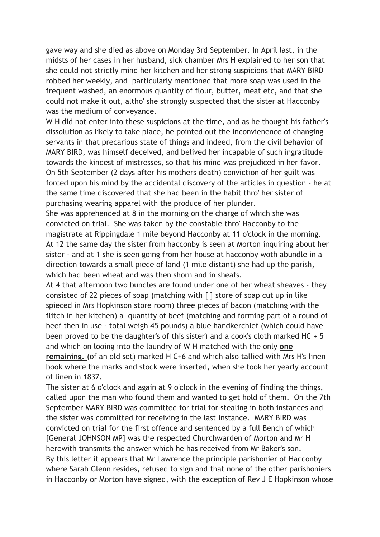gave way and she died as above on Monday 3rd September. In April last, in the midsts of her cases in her husband, sick chamber Mrs H explained to her son that she could not strictly mind her kitchen and her strong suspicions that MARY BIRD robbed her weekly, and particularly mentioned that more soap was used in the frequent washed, an enormous quantity of flour, butter, meat etc, and that she could not make it out, altho' she strongly suspected that the sister at Hacconby was the medium of conveyance.

W H did not enter into these suspicions at the time, and as he thought his father's dissolution as likely to take place, he pointed out the inconvienence of changing servants in that precarious state of things and indeed, from the civil behavior of MARY BIRD, was himself deceived, and belived her incapable of such ingratitude towards the kindest of mistresses, so that his mind was prejudiced in her favor. On 5th September (2 days after his mothers death) conviction of her guilt was forced upon his mind by the accidental discovery of the articles in question - he at the same time discovered that she had been in the habit thro' her sister of purchasing wearing apparel with the produce of her plunder.

She was apprehended at 8 in the morning on the charge of which she was convicted on trial. She was taken by the constable thro' Hacconby to the magistrate at Rippingdale 1 mile beyond Hacconby at 11 o'clock in the morning. At 12 the same day the sister from hacconby is seen at Morton inquiring about her sister - and at 1 she is seen going from her house at hacconby woth abundle in a direction towards a small piece of land (1 mile distant) she had up the parish, which had been wheat and was then shorn and in sheafs.

At 4 that afternoon two bundles are found under one of her wheat sheaves - they consisted of 22 pieces of soap (matching with [ ] store of soap cut up in like spieced in Mrs Hopkinson store room) three pieces of bacon (matching with the flitch in her kitchen) a quantity of beef (matching and forming part of a round of beef then in use - total weigh 45 pounds) a blue handkerchief (which could have been proved to be the daughter's of this sister) and a cook's cloth marked HC + 5 and which on looing into the laundry of W H matched with the only one remaining. (of an old set) marked H C+6 and which also tallied with Mrs H's linen book where the marks and stock were inserted, when she took her yearly account of linen in 1837.

The sister at 6 o'clock and again at 9 o'clock in the evening of finding the things, called upon the man who found them and wanted to get hold of them. On the 7th September MARY BIRD was committed for trial for stealing in both instances and the sister was committed for receiving in the last instance. MARY BIRD was convicted on trial for the first offence and sentenced by a full Bench of which [General JOHNSON MP] was the respected Churchwarden of Morton and Mr H herewith transmits the answer which he has received from Mr Baker's son. By this letter it appears that Mr Lawrence the principle parishonier of Hacconby where Sarah Glenn resides, refused to sign and that none of the other parishoniers in Hacconby or Morton have signed, with the exception of Rev J E Hopkinson whose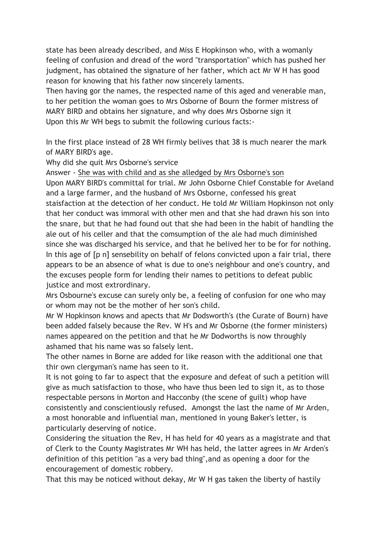state has been already described, and Miss E Hopkinson who, with a womanly feeling of confusion and dread of the word "transportation" which has pushed her judgment, has obtained the signature of her father, which act Mr W H has good reason for knowing that his father now sincerely laments.

Then having gor the names, the respected name of this aged and venerable man, to her petition the woman goes to Mrs Osborne of Bourn the former mistress of MARY BIRD and obtains her signature, and why does Mrs Osborne sign it Upon this Mr WH begs to submit the following curious facts:-

In the first place instead of 28 WH firmly belives that 38 is much nearer the mark of MARY BIRD's age.

Why did she quit Mrs Osborne's service

Answer - She was with child and as she alledged by Mrs Osborne's son

Upon MARY BIRD's committal for trial. Mr John Osborne Chief Constable for Aveland and a large farmer, and the husband of Mrs Osborne, confessed his great staisfaction at the detection of her conduct. He told Mr William Hopkinson not only that her conduct was immoral with other men and that she had drawn his son into the snare, but that he had found out that she had been in the habit of handling the ale out of his celler and that the comsumption of the ale had much diminished since she was discharged his service, and that he belived her to be for for nothing. In this age of [p n] sensebility on behalf of felons convicted upon a fair trial, there appears to be an absence of what is due to one's neighbour and one's country, and the excuses people form for lending their names to petitions to defeat public justice and most extrordinary.

Mrs Osbourne's excuse can surely only be, a feeling of confusion for one who may or whom may not be the mother of her son's child.

Mr W Hopkinson knows and apects that Mr Dodsworth's (the Curate of Bourn) have been added falsely because the Rev. W H's and Mr Osborne (the former ministers) names appeared on the petition and that he Mr Dodworths is now throughly ashamed that his name was so falsely lent.

The other names in Borne are added for like reason with the additional one that thir own clergyman's name has seen to it.

It is not going to far to aspect that the exposure and defeat of such a petition will give as much satisfaction to those, who have thus been led to sign it, as to those respectable persons in Morton and Hacconby (the scene of guilt) whop have consistently and conscientiously refused. Amongst the last the name of Mr Arden, a most honorable and influential man, mentioned in young Baker's letter, is particularly deserving of notice.

Considering the situation the Rev, H has held for 40 years as a magistrate and that of Clerk to the County Magistrates Mr WH has held, the latter agrees in Mr Arden's definition of this petition "as a very bad thing",and as opening a door for the encouragement of domestic robbery.

That this may be noticed without dekay, Mr W H gas taken the liberty of hastily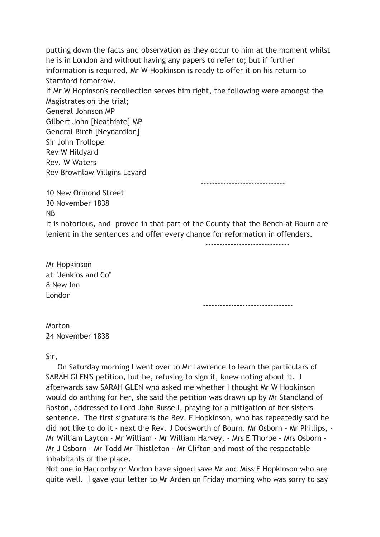putting down the facts and observation as they occur to him at the moment whilst he is in London and without having any papers to refer to; but if further information is required, Mr W Hopkinson is ready to offer it on his return to Stamford tomorrow. If Mr W Hopinson's recollection serves him right, the following were amongst the Magistrates on the trial; General Johnson MP Gilbert John [Neathiate] MP General Birch [Neynardion] Sir John Trollope Rev W Hildyard Rev. W Waters Rev Brownlow Villgins Layard ------------------------------

10 New Ormond Street 30 November 1838 NB

It is notorious, and proved in that part of the County that the Bench at Bourn are lenient in the sentences and offer every chance for reformation in offenders.

 $-$ 

Mr Hopkinson at "Jenkins and Co" 8 New Inn London

--------------------------------

Morton 24 November 1838

Sir,

 On Saturday morning I went over to Mr Lawrence to learn the particulars of SARAH GLEN'S petition, but he, refusing to sign it, knew noting about it. I afterwards saw SARAH GLEN who asked me whether I thought Mr W Hopkinson would do anthing for her, she said the petition was drawn up by Mr Standland of Boston, addressed to Lord John Russell, praying for a mitigation of her sisters sentence. The first signature is the Rev. E Hopkinson, who has repeatedly said he did not like to do it - next the Rev. J Dodsworth of Bourn. Mr Osborn - Mr Phillips, - Mr William Layton - Mr William - Mr William Harvey, - Mrs E Thorpe - Mrs Osborn - Mr J Osborn - Mr Todd Mr Thistleton - Mr Clifton and most of the respectable inhabitants of the place.

Not one in Hacconby or Morton have signed save Mr and Miss E Hopkinson who are quite well. I gave your letter to Mr Arden on Friday morning who was sorry to say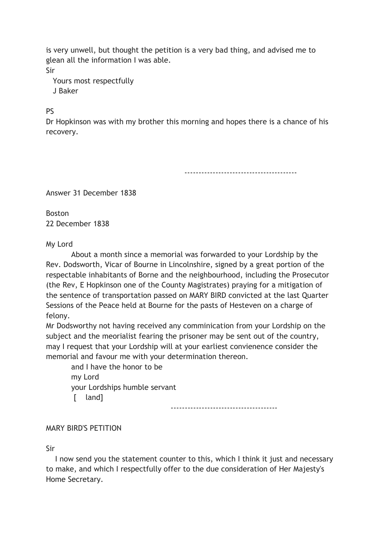is very unwell, but thought the petition is a very bad thing, and advised me to glean all the information I was able. Sir

 Yours most respectfully J Baker

**PS** 

Dr Hopkinson was with my brother this morning and hopes there is a chance of his recovery.

----------------------------------------

Answer 31 December 1838

Boston 22 December 1838

My Lord

 About a month since a memorial was forwarded to your Lordship by the Rev. Dodsworth, Vicar of Bourne in Lincolnshire, signed by a great portion of the respectable inhabitants of Borne and the neighbourhood, including the Prosecutor (the Rev, E Hopkinson one of the County Magistrates) praying for a mitigation of the sentence of transportation passed on MARY BIRD convicted at the last Quarter Sessions of the Peace held at Bourne for the pasts of Hesteven on a charge of felony.

Mr Dodsworthy not having received any comminication from your Lordship on the subject and the meorialist fearing the prisoner may be sent out of the country, may I request that your Lordship will at your earliest convienence consider the memorial and favour me with your determination thereon.

 and I have the honor to be my Lord your Lordships humble servant [ land]

--------------------------------------

## MARY BIRD'S PETITION

Sir

 I now send you the statement counter to this, which I think it just and necessary to make, and which I respectfully offer to the due consideration of Her Majesty's Home Secretary.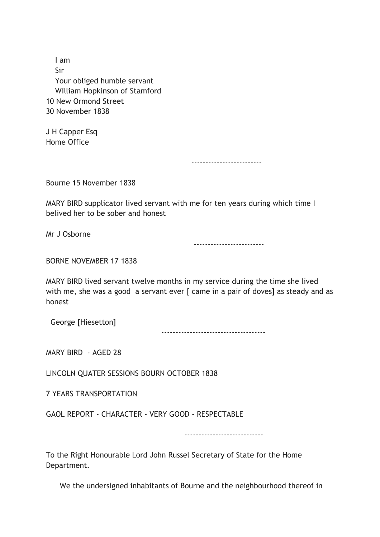I am Sir Your obliged humble servant William Hopkinson of Stamford 10 New Ormond Street 30 November 1838

J H Capper Esq Home Office

-------------------------

Bourne 15 November 1838

MARY BIRD supplicator lived servant with me for ten years during which time I belived her to be sober and honest

Mr J Osborne

-------------------------

BORNE NOVEMBER 17 1838

MARY BIRD lived servant twelve months in my service during the time she lived with me, she was a good a servant ever [ came in a pair of doves] as steady and as honest

George [Hiesetton]

-------------------------------------

MARY BIRD - AGED 28

LINCOLN QUATER SESSIONS BOURN OCTOBER 1838

7 YEARS TRANSPORTATION

GAOL REPORT - CHARACTER - VERY GOOD - RESPECTABLE

----------------------------

To the Right Honourable Lord John Russel Secretary of State for the Home Department.

We the undersigned inhabitants of Bourne and the neighbourhood thereof in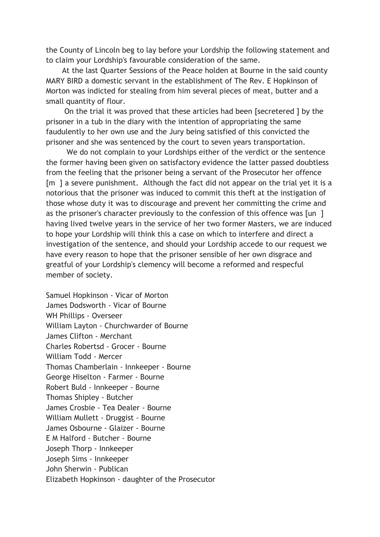the County of Lincoln beg to lay before your Lordship the following statement and to claim your Lordship's favourable consideration of the same.

 At the last Quarter Sessions of the Peace holden at Bourne in the said county MARY BIRD a domestic servant in the establishment of The Rev. E Hopkinson of Morton was indicted for stealing from him several pieces of meat, butter and a small quantity of flour.

 On the trial it was proved that these articles had been [secretered ] by the prisoner in a tub in the diary with the intention of appropriating the same faudulently to her own use and the Jury being satisfied of this convicted the prisoner and she was sentenced by the court to seven years transportation.

 We do not complain to your Lordships either of the verdict or the sentence the former having been given on satisfactory evidence the latter passed doubtless from the feeling that the prisoner being a servant of the Prosecutor her offence [m ] a severe punishment. Although the fact did not appear on the trial yet it is a notorious that the prisoner was induced to commit this theft at the instigation of those whose duty it was to discourage and prevent her committing the crime and as the prisoner's character previously to the confession of this offence was [un ] having lived twelve years in the service of her two former Masters, we are induced to hope your Lordship will think this a case on which to interfere and direct a investigation of the sentence, and should your Lordship accede to our request we have every reason to hope that the prisoner sensible of her own disgrace and greatful of your Lordship's clemency will become a reformed and respecful member of society.

Samuel Hopkinson - Vicar of Morton James Dodsworth - Vicar of Bourne WH Phillips - Overseer William Layton - Churchwarder of Bourne James Clifton - Merchant Charles Robertsd - Grocer - Bourne William Todd - Mercer Thomas Chamberlain - Innkeeper - Bourne George Hiselton - Farmer - Bourne Robert Buld - Innkeeper - Bourne Thomas Shipley - Butcher James Crosbie - Tea Dealer - Bourne William Mullett - Druggist - Bourne James Osbourne - Glaizer - Bourne E M Halford - Butcher - Bourne Joseph Thorp - Innkeeper Joseph Sims - Innkeeper John Sherwin - Publican Elizabeth Hopkinson - daughter of the Prosecutor